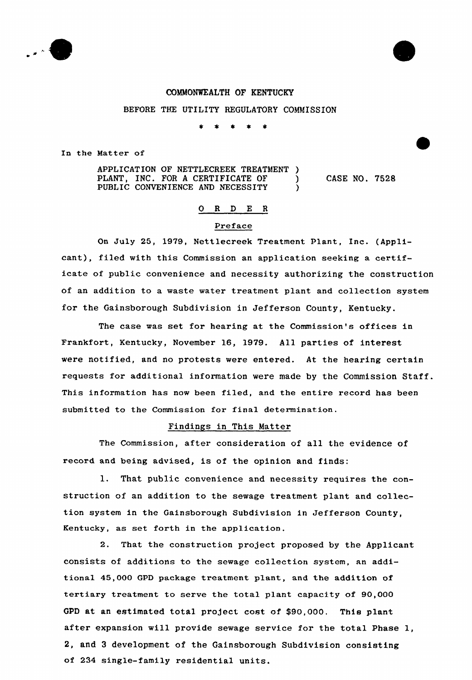

#### COMMONWEALTH OF KENTUCKY

### BEFORE THE UTILITY REGULATORY COMMISSION

 $\pmb{\ast}$  $\rightarrow$  $\star$ 

Ia the Matter of

APPLICATION OF NETTLECREEK TREATMENT )<br>PLANT, INC. FOR A CERTIFICATE OF ) PLANT, INC. FOR A CERTIFICATE OF PUBLIC CONVENIENCE AND NECESSITY

CASE NO. 7528

## 0 R <sup>D</sup> E <sup>R</sup>

## Preface

On July 25, 1979, Nettlecreek Treatment Plant, Inc. (Applicant), filed with this Commission an application seeking a certificate of public convenience and necessity authorizing the construction of an addition to a waste water treatment plant and collection system for the Gainsborough Subdivision in Jefferson County, Kentucky.

The case was set for hearing at the Commission's offices in Frankfort, Kentucky, November 16, 1979. All parties of interest were notified, and no protests were entered. At the hearing certain requests for additional information were made by the Commission Staff. This information has now been filed, and the entire record has been submitted to the Commission for final determination.

#### Findings in This Matter

The Commission, after consideration of all the evidence of record and being advised, is of the opinion and finds:

1. That public convenience and necessity requires the construction of an addition to the sewage treatment plant and collection system in the Gainsborough Subdivision in Jefferson County, Kentucky, as set forth in the application.

2. That the construction project proposed by the Applicant consists of additions to the sewage collection system, an additional 45,000 GPD package treatment plant, and the addition of tertiary treatment to serve the total plant capacity of 90,000 GPD at an estimated total project cost of \$90,000. This plant after expansion will provide sewage service for the total Phase 1, 2, and 3 development of the Gainsborough Subdivision consisting of 234 single-family residential units.